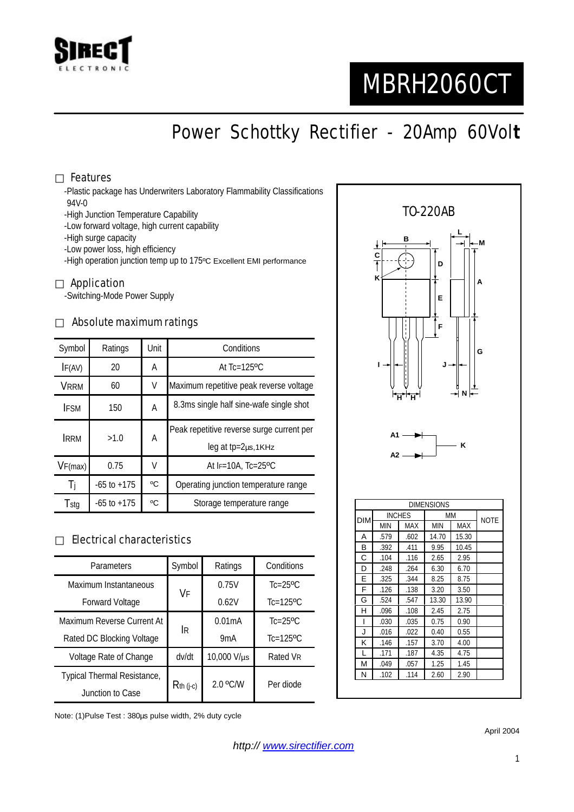

# MBRH2060CT

## Power Schottky Rectifier - 20Amp 60Vol**t**

#### Features

-Plastic package has Underwriters Laboratory Flammability Classifications -94V-0

-High Junction Temperature Capability

-Low forward voltage, high current capability

-High surge capacity

-Low power loss, high efficiency

-High operation junction temp up to 175ºC Excellent EMI performance

#### Application

-Switching-Mode Power Supply

#### Absolute maximum ratings

| Symbol      | Ratings         | Unit | Conditions                                                                |  |
|-------------|-----------------|------|---------------------------------------------------------------------------|--|
| IF(AV)      | 20              | Α    | At $Tc=125$ <sup>o</sup> $C$                                              |  |
| VRRM        | 60              | V    | Maximum repetitive peak reverse voltage                                   |  |
| <b>IFSM</b> | 150             | A    | 8.3ms single half sine-wafe single shot                                   |  |
| <b>IRRM</b> | >1.0            | A    | Peak repetitive reverse surge current per<br>$leg$ at tp= $2\mu s$ , 1KHz |  |
| VF(max)     | 0.75            | V    | At IF=10A, Tc=25°C                                                        |  |
| Ti          | $-65$ to $+175$ | °C   | Operating junction temperature range                                      |  |
| Tstg        | $-65$ to $+175$ | °C   | Storage temperature range                                                 |  |

#### Electrical characteristics

| Parameters                  | Symbol       | Ratings          | Conditions                 |
|-----------------------------|--------------|------------------|----------------------------|
| Maximum Instantaneous       | VF           | 0.75V            | $Tc = 25$ <sup>o</sup> $C$ |
| <b>Forward Voltage</b>      |              | 0.62V            | $Tc=125$ <sup>o</sup> $C$  |
| Maximum Reverse Current At  | <b>IR</b>    | 0.01mA           | $Tc=25$ <sup>o</sup> $C$   |
| Rated DC Blocking Voltage   |              | 9 <sub>m</sub> A | $Tc=125$ <sup>o</sup> $C$  |
| Voltage Rate of Change      | dv/dt        | 10,000 V/µs      | Rated VR                   |
| Typical Thermal Resistance, | $R$ th (j-c) | $2.0$ °C/W       | Per diode                  |
| Junction to Case            |              |                  |                            |

Note: (1)Pulse Test : 380µs pulse width, 2% duty cycle



April 2004